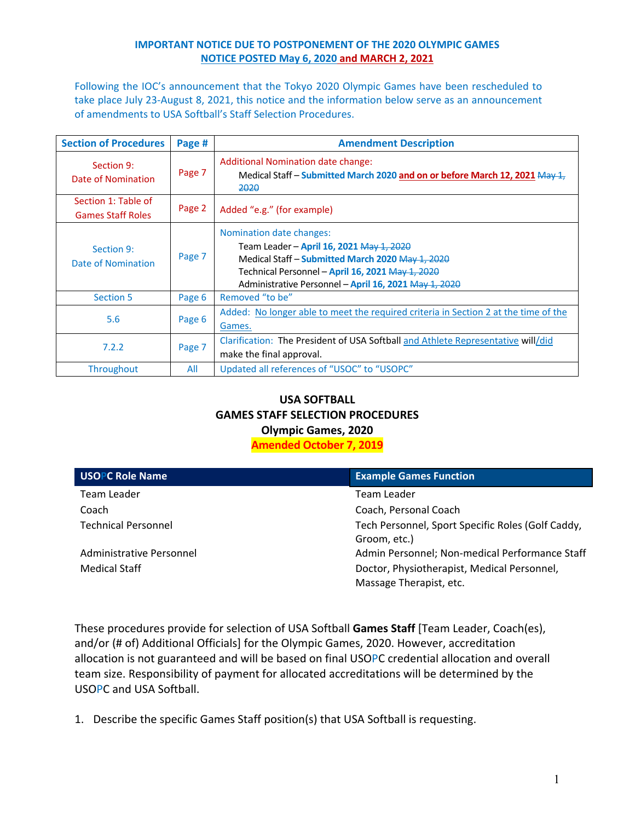### **IMPORTANT NOTICE DUE TO POSTPONEMENT OF THE 2020 OLYMPIC GAMES NOTICE POSTED May 6, 2020 and MARCH 2, 2021**

Following the IOC's announcement that the Tokyo 2020 Olympic Games have been rescheduled to take place July 23‐August 8, 2021, this notice and the information below serve as an announcement of amendments to USA Softball's Staff Selection Procedures.

| <b>Section of Procedures</b>                    | Page # | <b>Amendment Description</b>                                                                                                                                                                                                          |
|-------------------------------------------------|--------|---------------------------------------------------------------------------------------------------------------------------------------------------------------------------------------------------------------------------------------|
| Section 9:<br>Date of Nomination                | Page 7 | Additional Nomination date change:<br>Medical Staff - Submitted March 2020 and on or before March 12, 2021 May 1,<br>2020                                                                                                             |
| Section 1: Table of<br><b>Games Staff Roles</b> | Page 2 | Added "e.g." (for example)                                                                                                                                                                                                            |
| Section 9:<br>Date of Nomination                | Page 7 | Nomination date changes:<br>Team Leader - April 16, 2021 May 1, 2020<br>Medical Staff – Submitted March 2020 May 1, 2020<br>Technical Personnel – April 16, 2021 May 1, 2020<br>Administrative Personnel - April 16, 2021 May 1, 2020 |
| <b>Section 5</b>                                | Page 6 | Removed "to be"                                                                                                                                                                                                                       |
| 5.6                                             | Page 6 | Added: No longer able to meet the required criteria in Section 2 at the time of the<br>Games.                                                                                                                                         |
| 7.2.2                                           | Page 7 | Clarification: The President of USA Softball and Athlete Representative will/did<br>make the final approval.                                                                                                                          |
| <b>Throughout</b>                               | All    | Updated all references of "USOC" to "USOPC"                                                                                                                                                                                           |

## **USA SOFTBALL GAMES STAFF SELECTION PROCEDURES Olympic Games, 2020 Amended October 7, 2019**

| <b>USOPC Role Name</b>     | <b>Example Games Function</b>                                          |
|----------------------------|------------------------------------------------------------------------|
| Team Leader                | Team Leader                                                            |
| Coach                      | Coach, Personal Coach                                                  |
| <b>Technical Personnel</b> | Tech Personnel, Sport Specific Roles (Golf Caddy,<br>Groom, etc.)      |
| Administrative Personnel   | Admin Personnel; Non-medical Performance Staff                         |
| <b>Medical Staff</b>       | Doctor, Physiotherapist, Medical Personnel,<br>Massage Therapist, etc. |

These procedures provide for selection of USA Softball **Games Staff** [Team Leader, Coach(es), and/or (# of) Additional Officials] for the Olympic Games, 2020. However, accreditation allocation is not guaranteed and will be based on final USOPC credential allocation and overall team size. Responsibility of payment for allocated accreditations will be determined by the USOPC and USA Softball.

1. Describe the specific Games Staff position(s) that USA Softball is requesting.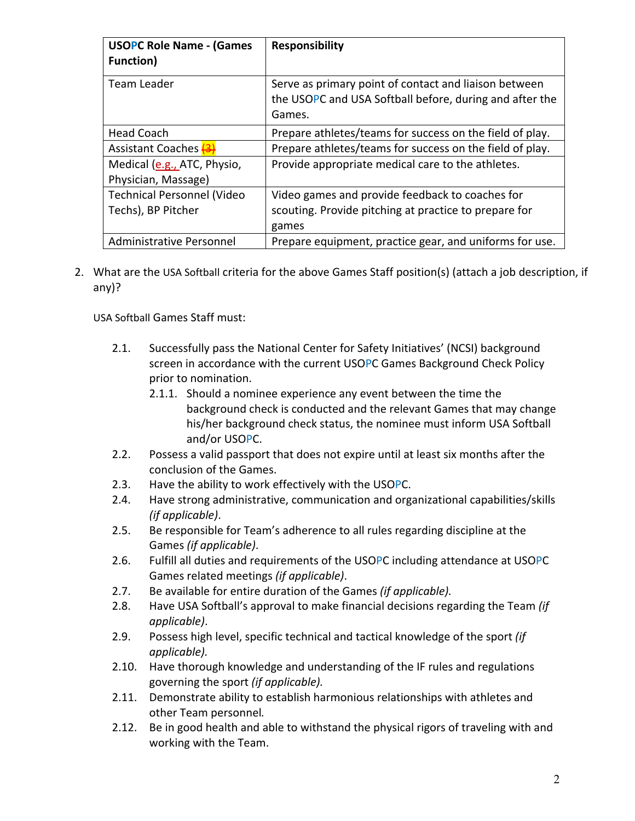| <b>USOPC Role Name - (Games</b><br><b>Function</b> ) | <b>Responsibility</b>                                                                                                      |
|------------------------------------------------------|----------------------------------------------------------------------------------------------------------------------------|
| Team Leader                                          | Serve as primary point of contact and liaison between<br>the USOPC and USA Softball before, during and after the<br>Games. |
| <b>Head Coach</b>                                    | Prepare athletes/teams for success on the field of play.                                                                   |
| Assistant Coaches (3)                                | Prepare athletes/teams for success on the field of play.                                                                   |
| Medical (e.g., ATC, Physio,<br>Physician, Massage)   | Provide appropriate medical care to the athletes.                                                                          |
| <b>Technical Personnel (Video</b>                    | Video games and provide feedback to coaches for                                                                            |
| Techs), BP Pitcher                                   | scouting. Provide pitching at practice to prepare for<br>games                                                             |
| Administrative Personnel                             | Prepare equipment, practice gear, and uniforms for use.                                                                    |

2. What are the USA Softball criteria for the above Games Staff position(s) (attach a job description, if any)?

USA Softball Games Staff must:

- 2.1. Successfully pass the National Center for Safety Initiatives' (NCSI) background screen in accordance with the current USOPC Games Background Check Policy prior to nomination.
	- 2.1.1. Should a nominee experience any event between the time the background check is conducted and the relevant Games that may change his/her background check status, the nominee must inform USA Softball and/or USOPC.
- 2.2. Possess a valid passport that does not expire until at least six months after the conclusion of the Games.
- 2.3. Have the ability to work effectively with the USOPC.
- 2.4. Have strong administrative, communication and organizational capabilities/skills *(if applicable)*.
- 2.5. Be responsible for Team's adherence to all rules regarding discipline at the Games *(if applicable)*.
- 2.6. Fulfill all duties and requirements of the USOPC including attendance at USOPC Games related meetings *(if applicable)*.
- 2.7. Be available for entire duration of the Games *(if applicable).*
- 2.8. Have USA Softball's approval to make financial decisions regarding the Team *(if applicable)*.
- 2.9. Possess high level, specific technical and tactical knowledge of the sport *(if applicable).*
- 2.10. Have thorough knowledge and understanding of the IF rules and regulations governing the sport *(if applicable).*
- 2.11. Demonstrate ability to establish harmonious relationships with athletes and other Team personnel*.*
- 2.12. Be in good health and able to withstand the physical rigors of traveling with and working with the Team.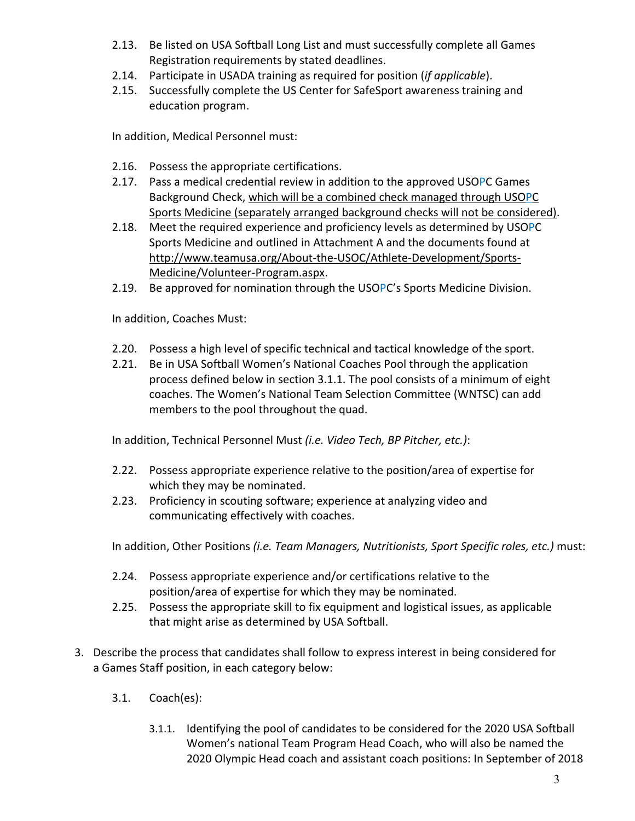- 2.13. Be listed on USA Softball Long List and must successfully complete all Games Registration requirements by stated deadlines.
- 2.14. Participate in USADA training as required for position (*if applicable*).
- 2.15. Successfully complete the US Center for SafeSport awareness training and education program.

In addition, Medical Personnel must:

- 2.16. Possess the appropriate certifications.
- 2.17. Pass a medical credential review in addition to the approved USOPC Games Background Check, which will be a combined check managed through USOPC Sports Medicine (separately arranged background checks will not be considered).
- 2.18. Meet the required experience and proficiency levels as determined by USOPC Sports Medicine and outlined in Attachment A and the documents found at http://www.teamusa.org/About-the-USOC/Athlete-Development/Sports-Medicine/Volunteer‐Program.aspx.
- 2.19. Be approved for nomination through the USOPC's Sports Medicine Division.

In addition, Coaches Must:

- 2.20. Possess a high level of specific technical and tactical knowledge of the sport.
- 2.21. Be in USA Softball Women's National Coaches Pool through the application process defined below in section 3.1.1. The pool consists of a minimum of eight coaches. The Women's National Team Selection Committee (WNTSC) can add members to the pool throughout the quad.

In addition, Technical Personnel Must *(i.e. Video Tech, BP Pitcher, etc.)*:

- 2.22. Possess appropriate experience relative to the position/area of expertise for which they may be nominated.
- 2.23. Proficiency in scouting software; experience at analyzing video and communicating effectively with coaches.

In addition, Other Positions *(i.e. Team Managers, Nutritionists, Sport Specific roles, etc.)* must:

- 2.24. Possess appropriate experience and/or certifications relative to the position/area of expertise for which they may be nominated.
- 2.25. Possess the appropriate skill to fix equipment and logistical issues, as applicable that might arise as determined by USA Softball.
- 3. Describe the process that candidates shall follow to express interest in being considered for a Games Staff position, in each category below:
	- 3.1. Coach(es):
		- 3.1.1. Identifying the pool of candidates to be considered for the 2020 USA Softball Women's national Team Program Head Coach, who will also be named the 2020 Olympic Head coach and assistant coach positions: In September of 2018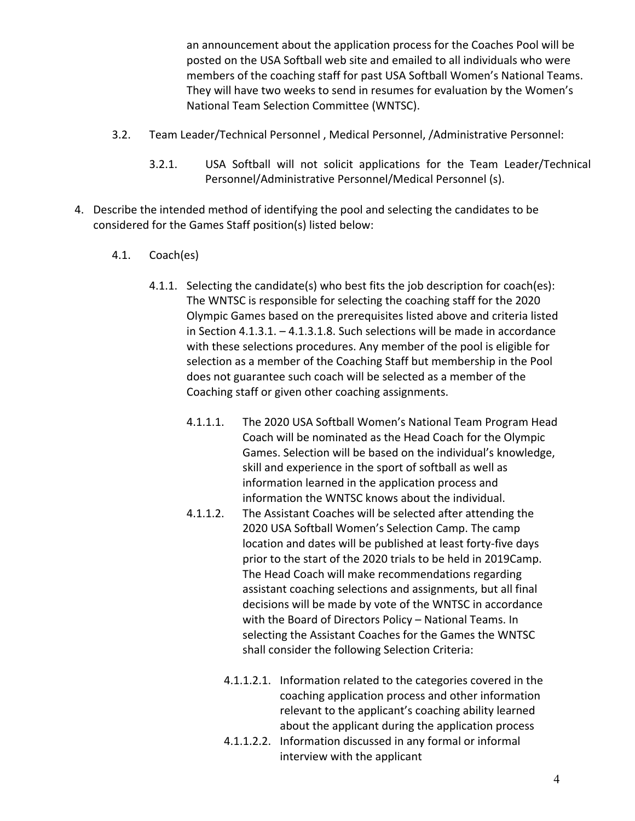an announcement about the application process for the Coaches Pool will be posted on the USA Softball web site and emailed to all individuals who were members of the coaching staff for past USA Softball Women's National Teams. They will have two weeks to send in resumes for evaluation by the Women's National Team Selection Committee (WNTSC).

- 3.2. Team Leader/Technical Personnel , Medical Personnel, /Administrative Personnel:
	- 3.2.1. USA Softball will not solicit applications for the Team Leader/Technical Personnel/Administrative Personnel/Medical Personnel (s).
- 4. Describe the intended method of identifying the pool and selecting the candidates to be considered for the Games Staff position(s) listed below:
	- 4.1. Coach(es)
		- 4.1.1. Selecting the candidate(s) who best fits the job description for coach(es): The WNTSC is responsible for selecting the coaching staff for the 2020 Olympic Games based on the prerequisites listed above and criteria listed in Section 4.1.3.1. – 4.1.3.1.8. Such selections will be made in accordance with these selections procedures. Any member of the pool is eligible for selection as a member of the Coaching Staff but membership in the Pool does not guarantee such coach will be selected as a member of the Coaching staff or given other coaching assignments.
			- 4.1.1.1. The 2020 USA Softball Women's National Team Program Head Coach will be nominated as the Head Coach for the Olympic Games. Selection will be based on the individual's knowledge, skill and experience in the sport of softball as well as information learned in the application process and information the WNTSC knows about the individual.
			- 4.1.1.2. The Assistant Coaches will be selected after attending the 2020 USA Softball Women's Selection Camp. The camp location and dates will be published at least forty‐five days prior to the start of the 2020 trials to be held in 2019Camp. The Head Coach will make recommendations regarding assistant coaching selections and assignments, but all final decisions will be made by vote of the WNTSC in accordance with the Board of Directors Policy – National Teams. In selecting the Assistant Coaches for the Games the WNTSC shall consider the following Selection Criteria:
				- 4.1.1.2.1. Information related to the categories covered in the coaching application process and other information relevant to the applicant's coaching ability learned about the applicant during the application process
				- 4.1.1.2.2. Information discussed in any formal or informal interview with the applicant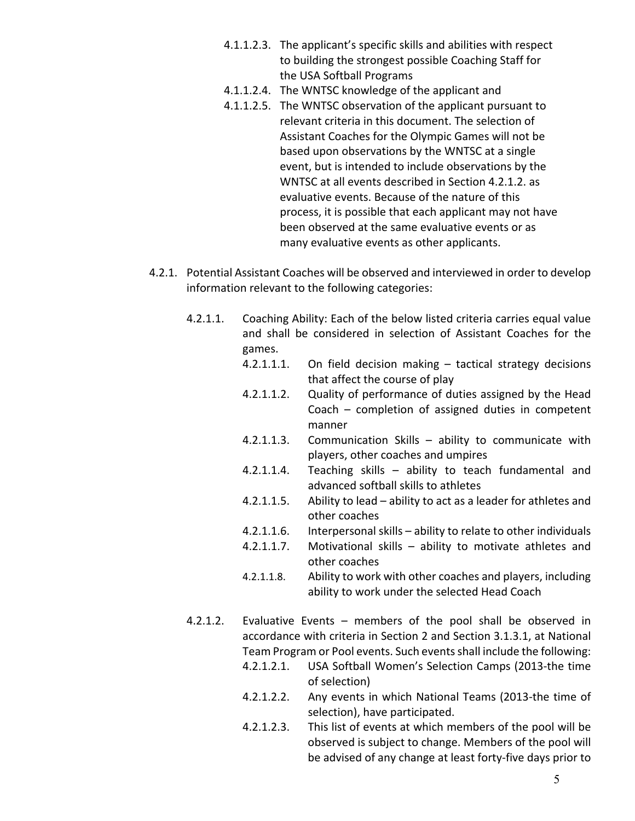- 4.1.1.2.3. The applicant's specific skills and abilities with respect to building the strongest possible Coaching Staff for the USA Softball Programs
- 4.1.1.2.4. The WNTSC knowledge of the applicant and
- 4.1.1.2.5. The WNTSC observation of the applicant pursuant to relevant criteria in this document. The selection of Assistant Coaches for the Olympic Games will not be based upon observations by the WNTSC at a single event, but is intended to include observations by the WNTSC at all events described in Section 4.2.1.2. as evaluative events. Because of the nature of this process, it is possible that each applicant may not have been observed at the same evaluative events or as many evaluative events as other applicants.
- 4.2.1. Potential Assistant Coaches will be observed and interviewed in order to develop information relevant to the following categories:
	- 4.2.1.1. Coaching Ability: Each of the below listed criteria carries equal value and shall be considered in selection of Assistant Coaches for the games.
		- 4.2.1.1.1. On field decision making tactical strategy decisions that affect the course of play
		- 4.2.1.1.2. Quality of performance of duties assigned by the Head Coach – completion of assigned duties in competent manner
		- 4.2.1.1.3. Communication Skills ability to communicate with players, other coaches and umpires
		- 4.2.1.1.4. Teaching skills ability to teach fundamental and advanced softball skills to athletes
		- 4.2.1.1.5. Ability to lead ability to act as a leader for athletes and other coaches
		- 4.2.1.1.6. Interpersonal skills ability to relate to other individuals
		- 4.2.1.1.7. Motivational skills ability to motivate athletes and other coaches
		- 4.2.1.1.8. Ability to work with other coaches and players, including ability to work under the selected Head Coach
	- 4.2.1.2. Evaluative Events members of the pool shall be observed in accordance with criteria in Section 2 and Section 3.1.3.1, at National Team Program or Pool events. Such eventsshall include the following:
		- 4.2.1.2.1. USA Softball Women's Selection Camps (2013‐the time of selection)
		- 4.2.1.2.2. Any events in which National Teams (2013-the time of selection), have participated.
		- 4.2.1.2.3. This list of events at which members of the pool will be observed is subject to change. Members of the pool will be advised of any change at least forty‐five days prior to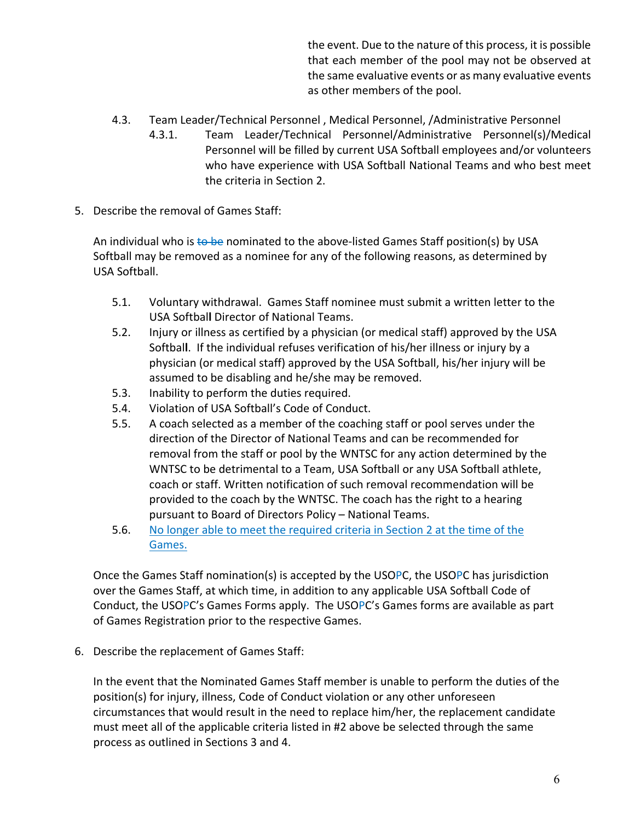the event. Due to the nature of this process, it is possible that each member of the pool may not be observed at the same evaluative events or as many evaluative events as other members of the pool.

- 4.3. Team Leader/Technical Personnel , Medical Personnel, /Administrative Personnel
	- 4.3.1. Team Leader/Technical Personnel/Administrative Personnel(s)/Medical Personnel will be filled by current USA Softball employees and/or volunteers who have experience with USA Softball National Teams and who best meet the criteria in Section 2.
- 5. Describe the removal of Games Staff:

An individual who is to be nominated to the above-listed Games Staff position(s) by USA Softball may be removed as a nominee for any of the following reasons, as determined by USA Softball.

- 5.1. Voluntary withdrawal. Games Staff nominee must submit a written letter to the USA Softbal**l** Director of National Teams.
- 5.2. Injury or illness as certified by a physician (or medical staff) approved by the USA Softbal**l**. If the individual refuses verification of his/her illness or injury by a physician (or medical staff) approved by the USA Softball, his/her injury will be assumed to be disabling and he/she may be removed.
- 5.3. Inability to perform the duties required.
- 5.4. Violation of USA Softball's Code of Conduct.
- 5.5. A coach selected as a member of the coaching staff or pool serves under the direction of the Director of National Teams and can be recommended for removal from the staff or pool by the WNTSC for any action determined by the WNTSC to be detrimental to a Team, USA Softball or any USA Softball athlete, coach or staff. Written notification of such removal recommendation will be provided to the coach by the WNTSC. The coach has the right to a hearing pursuant to Board of Directors Policy – National Teams.
- 5.6. No longer able to meet the required criteria in Section 2 at the time of the Games.

Once the Games Staff nomination(s) is accepted by the USOPC, the USOPC has jurisdiction over the Games Staff, at which time, in addition to any applicable USA Softball Code of Conduct, the USOPC's Games Forms apply. The USOPC's Games forms are available as part of Games Registration prior to the respective Games.

6. Describe the replacement of Games Staff:

In the event that the Nominated Games Staff member is unable to perform the duties of the position(s) for injury, illness, Code of Conduct violation or any other unforeseen circumstances that would result in the need to replace him/her, the replacement candidate must meet all of the applicable criteria listed in #2 above be selected through the same process as outlined in Sections 3 and 4.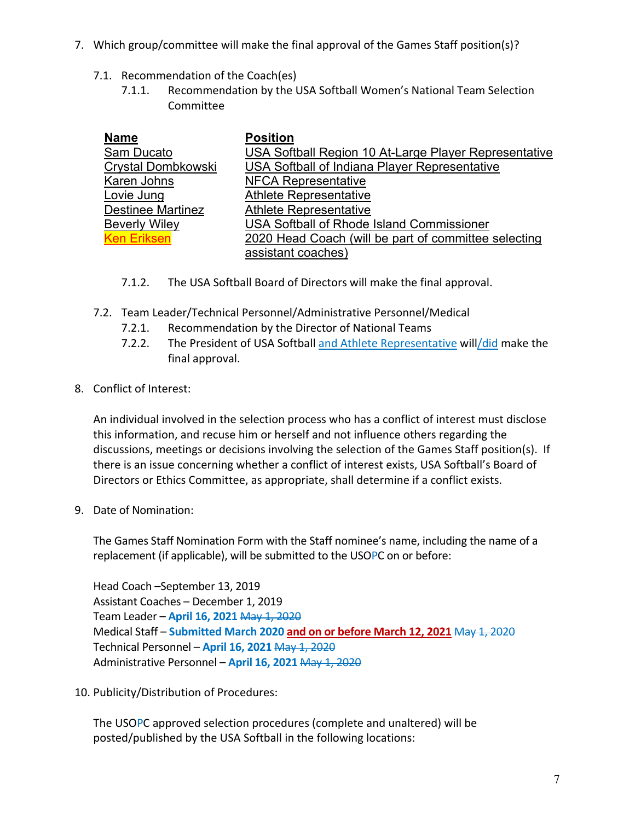- 7. Which group/committee will make the final approval of the Games Staff position(s)?
	- 7.1. Recommendation of the Coach(es)
		- 7.1.1. Recommendation by the USA Softball Women's National Team Selection Committee

| <b>Name</b>               | <b>Position</b>                                       |
|---------------------------|-------------------------------------------------------|
| Sam Ducato                | USA Softball Region 10 At-Large Player Representative |
| <b>Crystal Dombkowski</b> | USA Softball of Indiana Player Representative         |
| Karen Johns               | <b>NFCA Representative</b>                            |
| Lovie Jung                | <b>Athlete Representative</b>                         |
| <b>Destinee Martinez</b>  | <b>Athlete Representative</b>                         |
| <b>Beverly Wiley</b>      | <b>USA Softball of Rhode Island Commissioner</b>      |
| <b>Ken Eriksen</b>        | 2020 Head Coach (will be part of committee selecting  |
|                           | assistant coaches)                                    |

- 7.1.2. The USA Softball Board of Directors will make the final approval.
- 7.2. Team Leader/Technical Personnel/Administrative Personnel/Medical
	- 7.2.1. Recommendation by the Director of National Teams
	- 7.2.2. The President of USA Softball and Athlete Representative will/did make the final approval.
- 8. Conflict of Interest:

An individual involved in the selection process who has a conflict of interest must disclose this information, and recuse him or herself and not influence others regarding the discussions, meetings or decisions involving the selection of the Games Staff position(s). If there is an issue concerning whether a conflict of interest exists, USA Softball's Board of Directors or Ethics Committee, as appropriate, shall determine if a conflict exists.

9. Date of Nomination:

The Games Staff Nomination Form with the Staff nominee's name, including the name of a replacement (if applicable), will be submitted to the USOPC on or before:

Head Coach –September 13, 2019 Assistant Coaches – December 1, 2019 Team Leader – **April 16, 2021** May 1, 2020 Medical Staff – **Submitted March 2020 and on or before March 12, 2021** May 1, 2020 Technical Personnel – **April 16, 2021** May 1, 2020 Administrative Personnel – **April 16, 2021** May 1, 2020

10. Publicity/Distribution of Procedures:

The USOPC approved selection procedures (complete and unaltered) will be posted/published by the USA Softball in the following locations: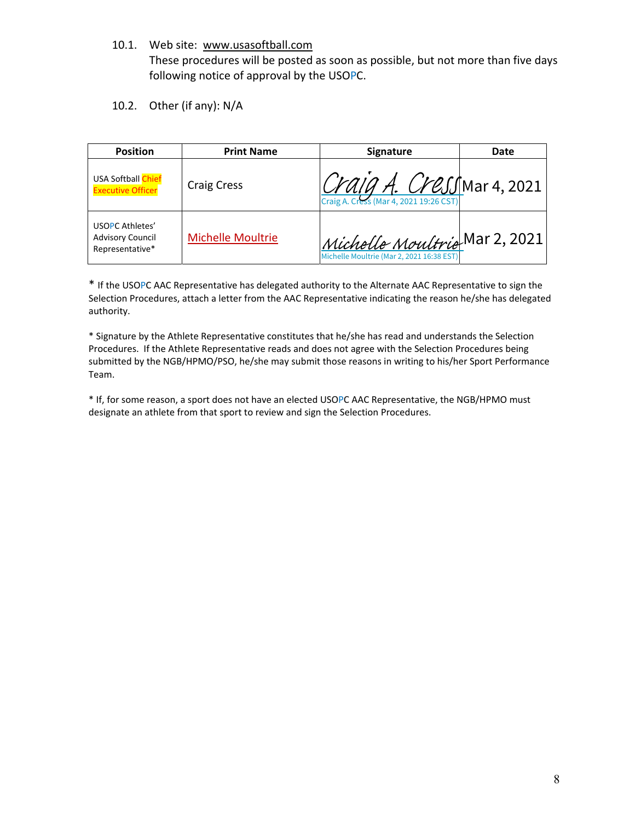10.1. Web site: www.usasoftball.com

These procedures will be posted as soon as possible, but not more than five days following notice of approval by the USOPC.

10.2. Other (if any): N/A

| <b>Position</b>                                               | <b>Print Name</b>        | <b>Signature</b>                                                                                      | Date |
|---------------------------------------------------------------|--------------------------|-------------------------------------------------------------------------------------------------------|------|
| <b>USA Softball Chief</b><br><b>Executive Officer</b>         | <b>Craig Cress</b>       | $\left \frac{C\gamma a}{C\gamma a s}\right \leftarrow C\gamma B\gamma B\gamma A$ . Cress (Mar 4, 2021 |      |
| USOPC Athletes'<br><b>Advisory Council</b><br>Representative* | <b>Michelle Moultrie</b> | Michelle Moultrie Mar 2, 2021<br>Michelle Moultrie (Mar 2, 2021 16:38 EST)                            |      |

\* If the USOPC AAC Representative has delegated authority to the Alternate AAC Representative to sign the Selection Procedures, attach a letter from the AAC Representative indicating the reason he/she has delegated authority.

\* Signature by the Athlete Representative constitutes that he/she has read and understands the Selection Procedures. If the Athlete Representative reads and does not agree with the Selection Procedures being submitted by the NGB/HPMO/PSO, he/she may submit those reasons in writing to his/her Sport Performance Team.

\* If, for some reason, a sport does not have an elected USOPC AAC Representative, the NGB/HPMO must designate an athlete from that sport to review and sign the Selection Procedures.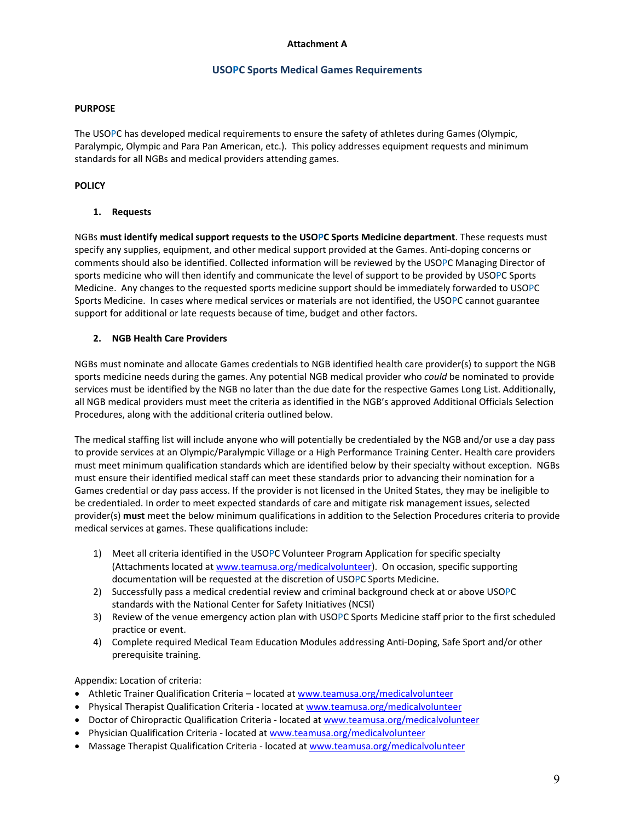#### **Attachment A**

#### **USOPC Sports Medical Games Requirements**

#### **PURPOSE**

The USOPC has developed medical requirements to ensure the safety of athletes during Games (Olympic, Paralympic, Olympic and Para Pan American, etc.). This policy addresses equipment requests and minimum standards for all NGBs and medical providers attending games.

#### **POLICY**

#### **1. Requests**

NGBs **must identify medical support requests to the USOPC Sports Medicine department**. These requests must specify any supplies, equipment, and other medical support provided at the Games. Anti-doping concerns or comments should also be identified. Collected information will be reviewed by the USOPC Managing Director of sports medicine who will then identify and communicate the level of support to be provided by USOPC Sports Medicine. Any changes to the requested sports medicine support should be immediately forwarded to USOPC Sports Medicine. In cases where medical services or materials are not identified, the USOPC cannot guarantee support for additional or late requests because of time, budget and other factors.

#### **2. NGB Health Care Providers**

NGBs must nominate and allocate Games credentials to NGB identified health care provider(s) to support the NGB sports medicine needs during the games. Any potential NGB medical provider who *could* be nominated to provide services must be identified by the NGB no later than the due date for the respective Games Long List. Additionally, all NGB medical providers must meet the criteria as identified in the NGB's approved Additional Officials Selection Procedures, along with the additional criteria outlined below.

The medical staffing list will include anyone who will potentially be credentialed by the NGB and/or use a day pass to provide services at an Olympic/Paralympic Village or a High Performance Training Center. Health care providers must meet minimum qualification standards which are identified below by their specialty without exception. NGBs must ensure their identified medical staff can meet these standards prior to advancing their nomination for a Games credential or day pass access. If the provider is not licensed in the United States, they may be ineligible to be credentialed. In order to meet expected standards of care and mitigate risk management issues, selected provider(s) **must** meet the below minimum qualifications in addition to the Selection Procedures criteria to provide medical services at games. These qualifications include:

- 1) Meet all criteria identified in the USOPC Volunteer Program Application for specific specialty (Attachments located at www.teamusa.org/medicalvolunteer). On occasion, specific supporting documentation will be requested at the discretion of USOPC Sports Medicine.
- 2) Successfully pass a medical credential review and criminal background check at or above USOPC standards with the National Center for Safety Initiatives (NCSI)
- 3) Review of the venue emergency action plan with USOPC Sports Medicine staff prior to the first scheduled practice or event.
- 4) Complete required Medical Team Education Modules addressing Anti-Doping, Safe Sport and/or other prerequisite training.

Appendix: Location of criteria:

- Athletic Trainer Qualification Criteria located at www.teamusa.org/medicalvolunteer
- Physical Therapist Qualification Criteria located at www.teamusa.org/medicalvolunteer
- Doctor of Chiropractic Qualification Criteria located at www.teamusa.org/medicalvolunteer
- Physician Qualification Criteria located at www.teamusa.org/medicalvolunteer
- Massage Therapist Qualification Criteria located at www.teamusa.org/medicalvolunteer